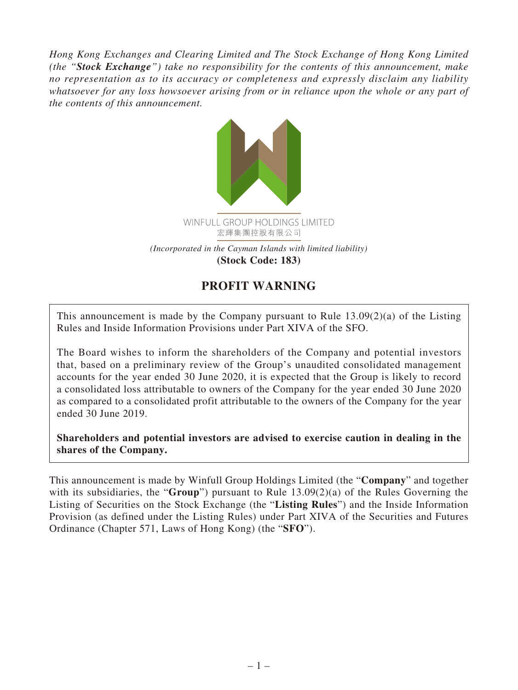*Hong Kong Exchanges and Clearing Limited and The Stock Exchange of Hong Kong Limited (the "Stock Exchange") take no responsibility for the contents of this announcement, make no representation as to its accuracy or completeness and expressly disclaim any liability whatsoever for any loss howsoever arising from or in reliance upon the whole or any part of the contents of this announcement.*



## **PROFIT WARNING**

This announcement is made by the Company pursuant to Rule 13.09(2)(a) of the Listing Rules and Inside Information Provisions under Part XIVA of the SFO.

The Board wishes to inform the shareholders of the Company and potential investors that, based on a preliminary review of the Group's unaudited consolidated management accounts for the year ended 30 June 2020, it is expected that the Group is likely to record a consolidated loss attributable to owners of the Company for the year ended 30 June 2020 as compared to a consolidated profit attributable to the owners of the Company for the year ended 30 June 2019.

**Shareholders and potential investors are advised to exercise caution in dealing in the shares of the Company.**

This announcement is made by Winfull Group Holdings Limited (the "**Company**" and together with its subsidiaries, the "**Group**") pursuant to Rule 13.09(2)(a) of the Rules Governing the Listing of Securities on the Stock Exchange (the "**Listing Rules**") and the Inside Information Provision (as defined under the Listing Rules) under Part XIVA of the Securities and Futures Ordinance (Chapter 571, Laws of Hong Kong) (the "**SFO**").